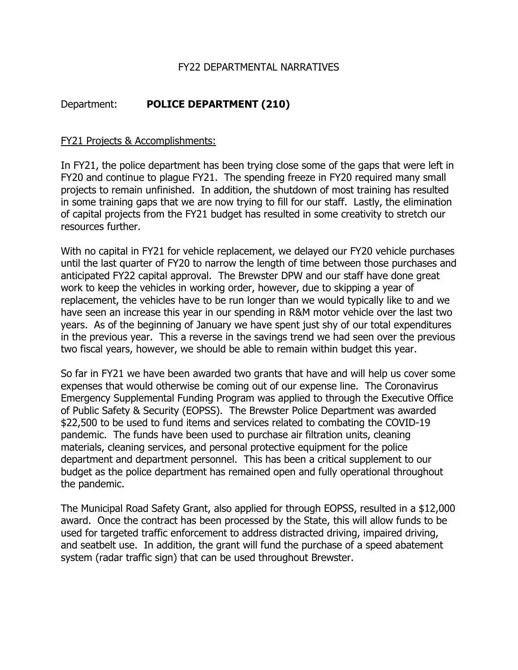# FY22 DEPARTMENTAL NARRATIVES

# Department: **POLICE DEPARTMENT (210)**

## FY21 Projects & Accomplishments:

In FY21, the police department has been trying close some of the gaps that were left in FY20 and continue to plague FY21. The spending freeze in FY20 required many small projects to remain unfinished. In addition, the shutdown of most training has resulted in some training gaps that we are now trying to fill for our staff. Lastly, the elimination of capital projects from the FY21 budget has resulted in some creativity to stretch our resources further.

With no capital in FY21 for vehicle replacement, we delayed our FY20 vehicle purchases until the last quarter of FY20 to narrow the length of time between those purchases and anticipated FY22 capital approval. The Brewster DPW and our staff have done great work to keep the vehicles in working order, however, due to skipping a year of replacement, the vehicles have to be run longer than we would typically like to and we have seen an increase this year in our spending in R&M motor vehicle over the last two years. As of the beginning of January we have spent just shy of our total expenditures in the previous year. This a reverse in the savings trend we had seen over the previous two fiscal years, however, we should be able to remain within budget this year.

So far in FY21 we have been awarded two grants that have and will help us cover some expenses that would otherwise be coming out of our expense line. The Coronavirus Emergency Supplemental Funding Program was applied to through the Executive Office of Public Safety & Security (EOPSS). The Brewster Police Department was awarded \$22,500 to be used to fund items and services related to combating the COVID-19 pandemic. The funds have been used to purchase air filtration units, cleaning materials, cleaning services, and personal protective equipment for the police department and department personnel. This has been a critical supplement to our budget as the police department has remained open and fully operational throughout the pandemic.

The Municipal Road Safety Grant, also applied for through EOPSS, resulted in a \$12,000 award. Once the contract has been processed by the State, this will allow funds to be used for targeted traffic enforcement to address distracted driving, impaired driving, and seatbelt use. In addition, the grant will fund the purchase of a speed abatement system (radar traffic sign) that can be used throughout Brewster.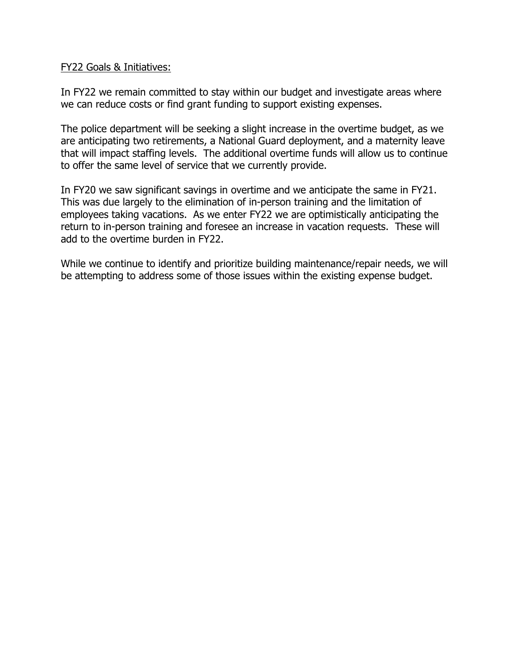#### FY22 Goals & Initiatives:

In FY22 we remain committed to stay within our budget and investigate areas where we can reduce costs or find grant funding to support existing expenses.

The police department will be seeking a slight increase in the overtime budget, as we are anticipating two retirements, a National Guard deployment, and a maternity leave that will impact staffing levels. The additional overtime funds will allow us to continue to offer the same level of service that we currently provide.

In FY20 we saw significant savings in overtime and we anticipate the same in FY21. This was due largely to the elimination of in-person training and the limitation of employees taking vacations. As we enter FY22 we are optimistically anticipating the return to in-person training and foresee an increase in vacation requests. These will add to the overtime burden in FY22.

While we continue to identify and prioritize building maintenance/repair needs, we will be attempting to address some of those issues within the existing expense budget.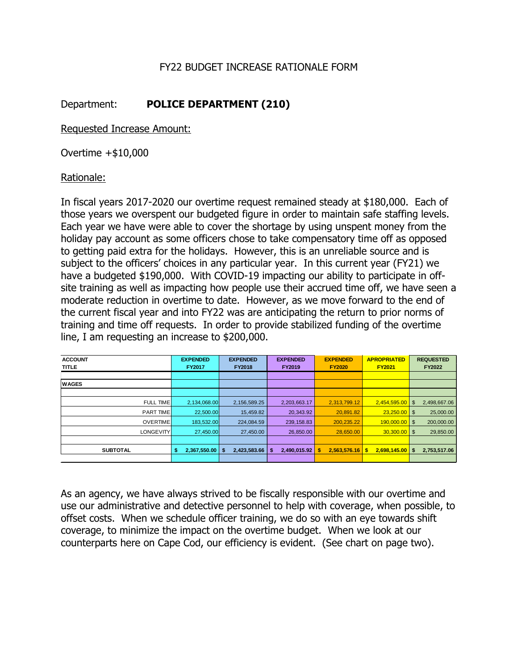# FY22 BUDGET INCREASE RATIONALE FORM

# Department: **POLICE DEPARTMENT (210)**

Requested Increase Amount:

Overtime +\$10,000

## Rationale:

In fiscal years 2017-2020 our overtime request remained steady at \$180,000. Each of those years we overspent our budgeted figure in order to maintain safe staffing levels. Each year we have were able to cover the shortage by using unspent money from the holiday pay account as some officers chose to take compensatory time off as opposed to getting paid extra for the holidays. However, this is an unreliable source and is subject to the officers' choices in any particular year. In this current year (FY21) we have a budgeted \$190,000. With COVID-19 impacting our ability to participate in offsite training as well as impacting how people use their accrued time off, we have seen a moderate reduction in overtime to date. However, as we move forward to the end of the current fiscal year and into FY22 was are anticipating the return to prior norms of training and time off requests. In order to provide stabilized funding of the overtime line, I am requesting an increase to \$200,000.

| <b>ACCOUNT</b><br>TITLE | <b>EXPENDED</b><br><b>FY2017</b> | <b>EXPENDED</b><br><b>FY2018</b> | <b>EXPENDED</b><br><b>FY2019</b> | <b>EXPENDED</b><br><b>FY2020</b> | <b>APROPRIATED</b><br><b>FY2021</b> | <b>REQUESTED</b><br><b>FY2022</b> |
|-------------------------|----------------------------------|----------------------------------|----------------------------------|----------------------------------|-------------------------------------|-----------------------------------|
|                         |                                  |                                  |                                  |                                  |                                     |                                   |
| <b>WAGES</b>            |                                  |                                  |                                  |                                  |                                     |                                   |
|                         |                                  |                                  |                                  |                                  |                                     |                                   |
| <b>FULL TIME</b>        | 2,134,068.00                     | 2, 156, 589. 25                  | 2,203,663.17                     | 2,313,799.12                     | 2,454,595.00                        | 2,498,667.06<br>\$                |
| PART TIME               | 22,500.00                        | 15,459.82                        | 20,343.92                        | 20,891.82                        | $23.250.00$ \ \$                    | 25,000.00                         |
| <b>OVERTIME</b>         | 183.532.00                       | 224,084.59                       | 239, 158.83                      | 200,235.22                       | $190,000.00$ \$                     | 200,000.00                        |
| <b>LONGEVITY</b>        | 27.450.00                        | 27,450.00                        | 26,850.00                        | 28.650.00                        | $30.300.00$ \ \$                    | 29,850.00                         |
|                         |                                  |                                  |                                  |                                  |                                     |                                   |
| <b>SUBTOTAL</b>         | $2,367,550.00$ \$<br>\$          | 2,423,583.66                     | 2,490,015.92<br>-\$              | 2.563.576.16                     | $2.698.145.00$ S<br>-\$             | 2,753,517.06                      |
|                         |                                  |                                  |                                  |                                  |                                     |                                   |

As an agency, we have always strived to be fiscally responsible with our overtime and use our administrative and detective personnel to help with coverage, when possible, to offset costs. When we schedule officer training, we do so with an eye towards shift coverage, to minimize the impact on the overtime budget. When we look at our counterparts here on Cape Cod, our efficiency is evident. (See chart on page two).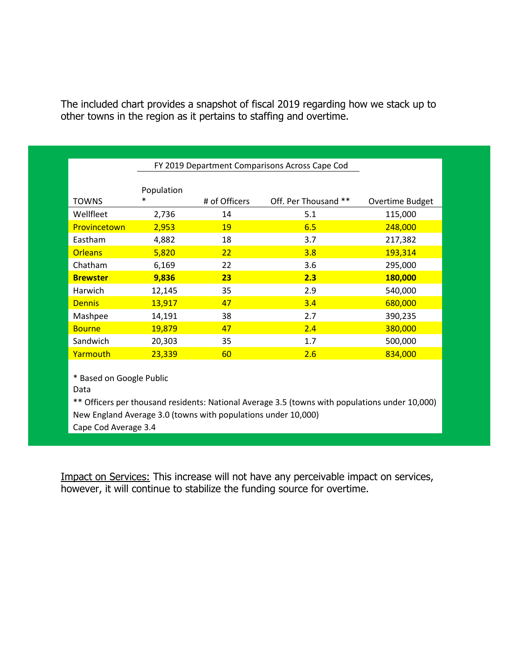| The included chart provides a snapshot of fiscal 2019 regarding how we stack up to |  |
|------------------------------------------------------------------------------------|--|
| other towns in the region as it pertains to staffing and overtime.                 |  |

|                 | FY 2019 Department Comparisons Across Cape Cod |               |                      |                 |  |  |
|-----------------|------------------------------------------------|---------------|----------------------|-----------------|--|--|
| <b>TOWNS</b>    | Population<br>∗                                | # of Officers | Off. Per Thousand ** | Overtime Budget |  |  |
| Wellfleet       | 2,736                                          | 14            | 5.1                  | 115,000         |  |  |
| Provincetown    | 2,953                                          | 19            | 6.5                  | 248,000         |  |  |
| Eastham         | 4,882                                          | 18            | 3.7                  | 217,382         |  |  |
| <b>Orleans</b>  | 5,820                                          | 22            | 3.8                  | 193,314         |  |  |
| Chatham         | 6,169                                          | 22            | 3.6                  | 295,000         |  |  |
| <b>Brewster</b> | 9,836                                          | 23            | 2.3                  | 180,000         |  |  |
| Harwich         | 12,145                                         | 35            | 2.9                  | 540,000         |  |  |
| <b>Dennis</b>   | 13,917                                         | 47            | 3.4                  | 680,000         |  |  |
| Mashpee         | 14,191                                         | 38            | 2.7                  | 390,235         |  |  |
| <b>Bourne</b>   | 19,879                                         | 47            | 2.4                  | 380,000         |  |  |
| Sandwich        | 20,303                                         | 35            | 1.7                  | 500,000         |  |  |
| <b>Yarmouth</b> | 23,339                                         | 60            | 2.6                  | 834,000         |  |  |

\* Based on Google Public

Data

\*\* Officers per thousand residents: National Average 3.5 (towns with populations under 10,000) New England Average 3.0 (towns with populations under 10,000)

Cape Cod Average 3.4

Impact on Services: This increase will not have any perceivable impact on services, however, it will continue to stabilize the funding source for overtime.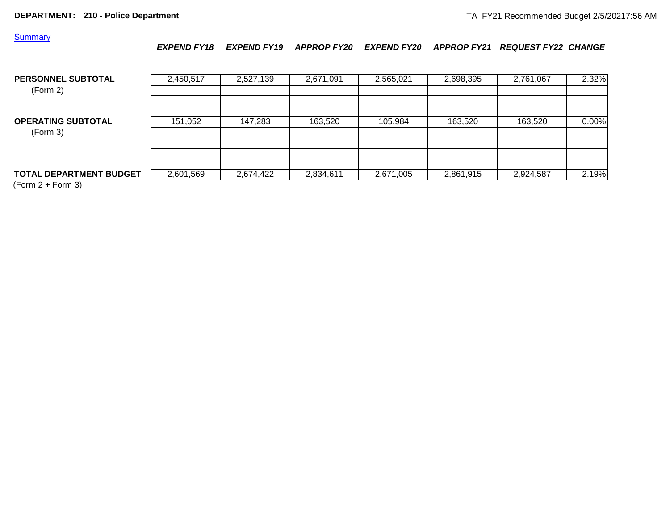#### **Summary**

*EXPEND FY18 EXPEND FY19 APPROP FY20 EXPEND FY20 APPROP FY21 REQUEST FY22 CHANGE*

| <b>PERSONNEL SUBTOTAL</b><br>(Form 2) | 2,450,517 | 2,527,139 | 2,671,091 | 2,565,021 | 2,698,395 | 2,761,067 | 2.32% |
|---------------------------------------|-----------|-----------|-----------|-----------|-----------|-----------|-------|
| <b>OPERATING SUBTOTAL</b>             | 151,052   | 147,283   | 163,520   | 105,984   | 163.520   | 163,520   | 0.00% |
| (Form 3)                              |           |           |           |           |           |           |       |
| <b>TOTAL DEPARTMENT BUDGET</b>        | 2,601,569 | 2,674,422 | 2,834,611 | 2,671,005 | 2,861,915 | 2,924,587 | 2.19% |

 $(Form 2 + Form 3)$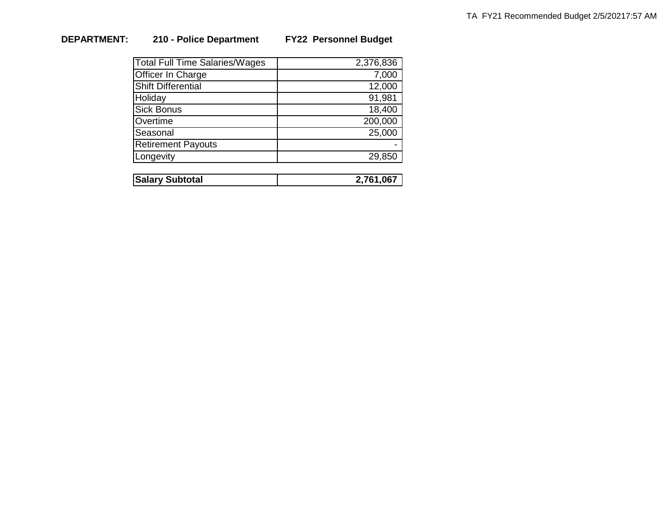# **DEPARTMENT: 210 - Police Department FY22 Personnel Budget**

| <b>Total Full Time Salaries/Wages</b> | 2,376,836 |
|---------------------------------------|-----------|
| Officer In Charge                     | 7,000     |
| <b>Shift Differential</b>             | 12,000    |
| Holiday                               | 91,981    |
| <b>Sick Bonus</b>                     | 18,400    |
| Overtime                              | 200,000   |
| Seasonal                              | 25,000    |
| <b>Retirement Payouts</b>             |           |
| Longevity                             | 29,850    |
|                                       |           |

| <b>Salary Subtotal</b> | ∠.761.067 |
|------------------------|-----------|
|                        |           |